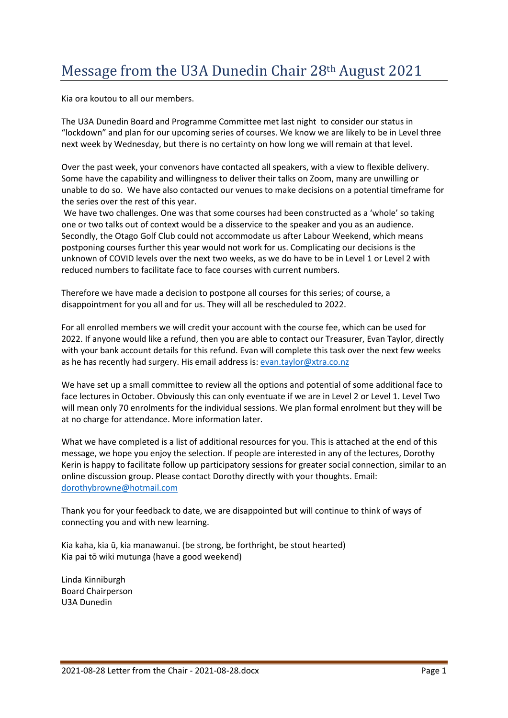## Message from the U3A Dunedin Chair 28th August 2021

Kia ora koutou to all our members.

The U3A Dunedin Board and Programme Committee met last night to consider our status in "lockdown" and plan for our upcoming series of courses. We know we are likely to be in Level three next week by Wednesday, but there is no certainty on how long we will remain at that level.

Over the past week, your convenors have contacted all speakers, with a view to flexible delivery. Some have the capability and willingness to deliver their talks on Zoom, many are unwilling or unable to do so. We have also contacted our venues to make decisions on a potential timeframe for the series over the rest of this year.

We have two challenges. One was that some courses had been constructed as a 'whole' so taking one or two talks out of context would be a disservice to the speaker and you as an audience. Secondly, the Otago Golf Club could not accommodate us after Labour Weekend, which means postponing courses further this year would not work for us. Complicating our decisions is the unknown of COVID levels over the next two weeks, as we do have to be in Level 1 or Level 2 with reduced numbers to facilitate face to face courses with current numbers.

Therefore we have made a decision to postpone all courses for this series; of course, a disappointment for you all and for us. They will all be rescheduled to 2022.

For all enrolled members we will credit your account with the course fee, which can be used for 2022. If anyone would like a refund, then you are able to contact our Treasurer, Evan Taylor, directly with your bank account details for this refund. Evan will complete this task over the next few weeks as he has recently had surgery. His email address is: [evan.taylor@xtra.co.nz](mailto:evan.taylor@xtra.co.nz)

We have set up a small committee to review all the options and potential of some additional face to face lectures in October. Obviously this can only eventuate if we are in Level 2 or Level 1. Level Two will mean only 70 enrolments for the individual sessions. We plan formal enrolment but they will be at no charge for attendance. More information later.

What we have completed is a list of additional resources for you. This is attached at the end of this message, we hope you enjoy the selection. If people are interested in any of the lectures, Dorothy Kerin is happy to facilitate follow up participatory sessions for greater social connection, similar to an online discussion group. Please contact Dorothy directly with your thoughts. Email: [dorothybrowne@hotmail.com](mailto:dorothybrowne@hotmail.com)

Thank you for your feedback to date, we are disappointed but will continue to think of ways of connecting you and with new learning.

Kia kaha, kia ū, kia manawanui. (be strong, be forthright, be stout hearted) Kia pai tō wiki mutunga (have a good weekend)

Linda Kinniburgh Board Chairperson U3A Dunedin